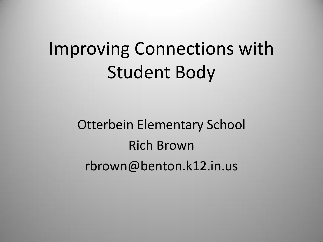# Improving Connections with Student Body

Otterbein Elementary School Rich Brown rbrown@benton.k12.in.us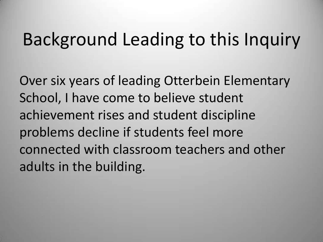### Background Leading to this Inquiry

Over six years of leading Otterbein Elementary School, I have come to believe student achievement rises and student discipline problems decline if students feel more connected with classroom teachers and other adults in the building.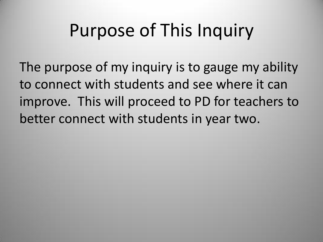# Purpose of This Inquiry

The purpose of my inquiry is to gauge my ability to connect with students and see where it can improve. This will proceed to PD for teachers to better connect with students in year two.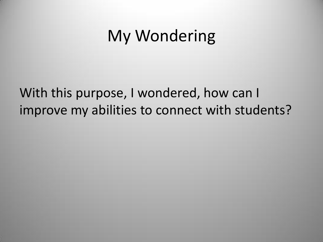### My Wondering

### With this purpose, I wondered, how can I improve my abilities to connect with students?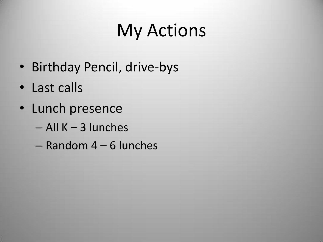# My Actions

- Birthday Pencil, drive-bys
- Last calls
- Lunch presence
	- All K 3 lunches
	- Random 4 6 lunches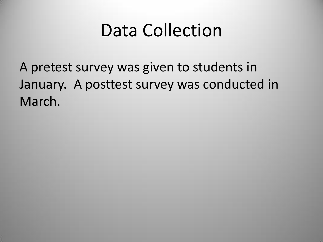### Data Collection

A pretest survey was given to students in January. A posttest survey was conducted in March.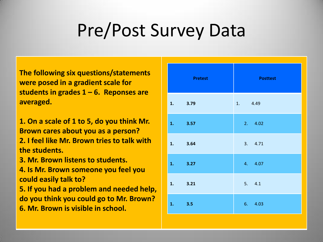# Pre/Post Survey Data

**The following six questions/statements were posed in a gradient scale for students in grades 1 – 6. Reponses are averaged.**

**1. On a scale of 1 to 5, do you think Mr. Brown cares about you as a person? 2. I feel like Mr. Brown tries to talk with the students.**

**3. Mr. Brown listens to students.**

**4. Is Mr. Brown someone you feel you could easily talk to?**

**5. If you had a problem and needed help, do you think you could go to Mr. Brown? 6. Mr. Brown is visible in school.**

|    | <b>Pretest</b> | <b>Posttest</b> |
|----|----------------|-----------------|
|    | 1. 3.79        | 1. 4.49         |
|    | 1. 3.57        | 2.4.02          |
|    | 1. 3.64        | 3.4.71          |
|    | 1. 3.27        | 4. 4.07         |
| 1. | 3.21           | 5. 4.1          |
|    | 1. 3.5         | 6. 4.03         |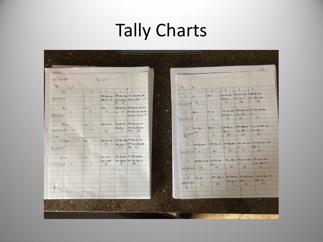# Tally Charts

|                   |          |                     |                    |             |                                                                                                                                                                                                                                                                                                                                             |                   |                     |                                    |                                                                                                                                                                                                                               |                                             | P                                                                                                                                                                                                                                                                                                                                                                |
|-------------------|----------|---------------------|--------------------|-------------|---------------------------------------------------------------------------------------------------------------------------------------------------------------------------------------------------------------------------------------------------------------------------------------------------------------------------------------------|-------------------|---------------------|------------------------------------|-------------------------------------------------------------------------------------------------------------------------------------------------------------------------------------------------------------------------------|---------------------------------------------|------------------------------------------------------------------------------------------------------------------------------------------------------------------------------------------------------------------------------------------------------------------------------------------------------------------------------------------------------------------|
| $422 - 94 - 4.49$ |          |                     |                    |             |                                                                                                                                                                                                                                                                                                                                             |                   |                     | Please answer the following questi |                                                                                                                                                                                                                               |                                             |                                                                                                                                                                                                                                                                                                                                                                  |
|                   |          |                     | 94 total           |             |                                                                                                                                                                                                                                                                                                                                             |                   |                     |                                    |                                                                                                                                                                                                                               |                                             |                                                                                                                                                                                                                                                                                                                                                                  |
| $\bullet$         | Post     |                     |                    |             |                                                                                                                                                                                                                                                                                                                                             | L.                | Pre                 |                                    | $\overline{3}$                                                                                                                                                                                                                | 4                                           | $\mathcal{S}$                                                                                                                                                                                                                                                                                                                                                    |
| 2'                |          | $\overline{a}$      | $\overline{3}$     | 4           | $\sqrt{\frac{2}{n}}$                                                                                                                                                                                                                                                                                                                        |                   |                     | $\mathcal{Z}$                      |                                                                                                                                                                                                                               | <b>HH-HH-THT-</b> HHIS TH-TH-               |                                                                                                                                                                                                                                                                                                                                                                  |
| 378 : 94 : 4.02   |          |                     | <b>TTH-THL 144</b> |             | 114 -14 - 14 11 - 111 - 111 - 111                                                                                                                                                                                                                                                                                                           | w.<br>$\Gamma$    | щ                   | $H + 4$                            | THE THE TIME                                                                                                                                                                                                                  | THE THE T                                   | $H + H$                                                                                                                                                                                                                                                                                                                                                          |
|                   |          | $\overline{1}$      | $H$ $H$ $H$ $H$    | $111 \t132$ | 7791 7774 7777 7778 175                                                                                                                                                                                                                                                                                                                     | ×                 |                     | 14                                 | $Hff-Hff$<br>75                                                                                                                                                                                                               | 108                                         | 165                                                                                                                                                                                                                                                                                                                                                              |
|                   |          |                     |                    |             |                                                                                                                                                                                                                                                                                                                                             | $356:94-3.79$     | 4                   |                                    |                                                                                                                                                                                                                               |                                             |                                                                                                                                                                                                                                                                                                                                                                  |
| 3:1               |          | mi<br>$\mathcal{L}$ | $+44+1$<br>18      |             | <b>THE THE THE THE THE THE THE THE</b><br>114 76 7717 7717 774 774 775                                                                                                                                                                                                                                                                      |                   |                     | <b>THIL IFI</b>                    | THE THE THE                                                                                                                                                                                                                   |                                             | HIEHHAH THE THE THE THEFT                                                                                                                                                                                                                                                                                                                                        |
| 443-942471        |          |                     |                    |             | THE THE THE ILL 340                                                                                                                                                                                                                                                                                                                         | $\alpha$          | $11 - 1111$         |                                    | $H + H + 1$                                                                                                                                                                                                                   | THE LHT                                     | ln 1                                                                                                                                                                                                                                                                                                                                                             |
|                   |          |                     |                    |             |                                                                                                                                                                                                                                                                                                                                             | $336 - 94 = 3.57$ | $\eta$              | 16                                 | 78                                                                                                                                                                                                                            | 120                                         | 116                                                                                                                                                                                                                                                                                                                                                              |
| 4211              |          | 111                 | $T T + T T + 11$   |             | THE THE THE THE THE THE                                                                                                                                                                                                                                                                                                                     |                   |                     |                                    |                                                                                                                                                                                                                               |                                             |                                                                                                                                                                                                                                                                                                                                                                  |
|                   |          |                     |                    | $HH$ $HH$   | <b>ITT- THLTHI-THE</b>                                                                                                                                                                                                                                                                                                                      | $\overline{3}$    | $H_{1+}$ m          | $HH$ $Rl$                          | $t$ + $t$ + $t$ + $t$ + $t$ + $t$ + $t$ + $t$ + $t$ + $t$ + $t$ + $t$ + $t$ + $t$ + $t$ + $t$ + $t$ + $t$ + $t$ + $t$ + $t$ + $t$ + $t$ + $t$ + $t$ + $t$ + $t$ + $t$ + $t$ + $t$ + $t$ + $t$ + $t$ + $t$ + $t$ + $t$ + $t$ + |                                             | 1111-114 114 MAL 441-114 114                                                                                                                                                                                                                                                                                                                                     |
| $383.794 = 4.07$  | 3        | $\overline{u}$      | 39                 | 100         | $TR + 11$ 235                                                                                                                                                                                                                                                                                                                               |                   | 314                 |                                    | HH IL                                                                                                                                                                                                                         | $1 + m + 1$                                 | $\frac{1}{1111} + \frac{111}{111} + \frac{1}{111} + \frac{1}{111} + \frac{1}{111} + \frac{1}{111} + \frac{1}{111} + \frac{1}{111} + \frac{1}{111} + \frac{1}{111} + \frac{1}{111} + \frac{1}{111} + \frac{1}{111} + \frac{1}{111} + \frac{1}{111} + \frac{1}{111} + \frac{1}{111} + \frac{1}{111} + \frac{1}{111} + \frac{1}{111} + \frac{1}{111} + \frac{1}{11$ |
|                   |          |                     |                    |             |                                                                                                                                                                                                                                                                                                                                             |                   | 342.44<br>10        | 16                                 | 57                                                                                                                                                                                                                            | 104                                         | 155                                                                                                                                                                                                                                                                                                                                                              |
| $5:11+1$          |          | 1141                | $m - t$ th - 1111  |             | $\frac{1}{1111}-\frac{1}{1111}-\frac{1}{1111}-\frac{1}{1111}+\frac{1}{1111}+\frac{1}{1111}+\frac{1}{1111}+\frac{1}{1111}+\frac{1}{1111}+\frac{1}{1111}+\frac{1}{1111}+\frac{1}{1111}+\frac{1}{1111}+\frac{1}{1111}+\frac{1}{1111}+\frac{1}{1111}+\frac{1}{1111}+\frac{1}{1111}+\frac{1}{1111}+\frac{1}{1111}+\frac{1}{1111}+\frac{1}{1111}$ |                   |                     |                                    |                                                                                                                                                                                                                               |                                             |                                                                                                                                                                                                                                                                                                                                                                  |
|                   | 6        | $\frac{6}{5}$       | 42                 |             | $HH + H + H + H + H +$                                                                                                                                                                                                                                                                                                                      | 4                 | $H + T + T + T + T$ | 111                                |                                                                                                                                                                                                                               |                                             | THE THE THE THE THE THE THE THE THE                                                                                                                                                                                                                                                                                                                              |
| $385 - 94 - 4.1$  |          |                     |                    | 104         | $111 + 225$                                                                                                                                                                                                                                                                                                                                 |                   |                     |                                    |                                                                                                                                                                                                                               | 111<br>72                                   | <b>744 111</b><br>140                                                                                                                                                                                                                                                                                                                                            |
|                   |          |                     |                    |             |                                                                                                                                                                                                                                                                                                                                             |                   | $301594=3.27$ 18    | 26                                 | 51                                                                                                                                                                                                                            |                                             |                                                                                                                                                                                                                                                                                                                                                                  |
| 6:11              |          | ш                   | <b>THH_THIT</b>    |             |                                                                                                                                                                                                                                                                                                                                             |                   |                     |                                    |                                                                                                                                                                                                                               |                                             | $HH$ $HH$                                                                                                                                                                                                                                                                                                                                                        |
|                   |          | $\mathcal{G}$       | Tip Till<br>be     | 116         | THE THE HE HE THE THE THE<br>195                                                                                                                                                                                                                                                                                                            | $5\overline{)}$   |                     | $4447$ $+117$ $+111$               | $+$ 1111-1111                                                                                                                                                                                                                 | THE UH - THE V HH                           | $H = HU - HU$                                                                                                                                                                                                                                                                                                                                                    |
| $379 - 94 - 468$  | $\omega$ |                     |                    |             |                                                                                                                                                                                                                                                                                                                                             |                   |                     | 报<br>19                            | 34                                                                                                                                                                                                                            | 68<br>36                                    | 146                                                                                                                                                                                                                                                                                                                                                              |
|                   |          |                     |                    |             |                                                                                                                                                                                                                                                                                                                                             | $302 - 94 - 3.21$ |                     |                                    |                                                                                                                                                                                                                               |                                             |                                                                                                                                                                                                                                                                                                                                                                  |
|                   |          |                     |                    |             |                                                                                                                                                                                                                                                                                                                                             |                   |                     |                                    |                                                                                                                                                                                                                               | <b>THIS THE I THE THE THE HILL TITTERAL</b> | THE THE THE THE                                                                                                                                                                                                                                                                                                                                                  |
|                   |          |                     |                    |             |                                                                                                                                                                                                                                                                                                                                             |                   | 6<br><b>THL III</b> |                                    |                                                                                                                                                                                                                               | the White Title                             | THE III                                                                                                                                                                                                                                                                                                                                                          |
|                   |          |                     |                    |             |                                                                                                                                                                                                                                                                                                                                             | 304.94-3.5        |                     | 9                                  | 22                                                                                                                                                                                                                            | 80<br>78                                    | 140                                                                                                                                                                                                                                                                                                                                                              |
| $\Box$            |          |                     |                    |             |                                                                                                                                                                                                                                                                                                                                             |                   |                     |                                    |                                                                                                                                                                                                                               |                                             |                                                                                                                                                                                                                                                                                                                                                                  |
|                   |          |                     |                    |             |                                                                                                                                                                                                                                                                                                                                             |                   |                     |                                    |                                                                                                                                                                                                                               |                                             |                                                                                                                                                                                                                                                                                                                                                                  |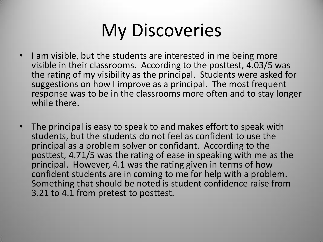# My Discoveries

- I am visible, but the students are interested in me being more visible in their classrooms. According to the posttest, 4.03/5 was the rating of my visibility as the principal. Students were asked for suggestions on how I improve as a principal. The most frequent response was to be in the classrooms more often and to stay longer while there.
- The principal is easy to speak to and makes effort to speak with students, but the students do not feel as confident to use the principal as a problem solver or confidant. According to the posttest, 4.71/5 was the rating of ease in speaking with me as the principal. However, 4.1 was the rating given in terms of how confident students are in coming to me for help with a problem. Something that should be noted is student confidence raise from 3.21 to 4.1 from pretest to posttest.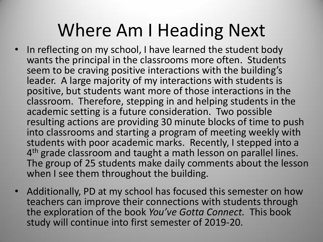### Where Am I Heading Next

- In reflecting on my school, I have learned the student body wants the principal in the classrooms more often. Students seem to be craving positive interactions with the building's leader. A large majority of my interactions with students is positive, but students want more of those interactions in the classroom. Therefore, stepping in and helping students in the academic setting is a future consideration. Two possible resulting actions are providing 30 minute blocks of time to push into classrooms and starting a program of meeting weekly with students with poor academic marks. Recently, I stepped into a 4<sup>th</sup> grade classroom and taught a math lesson on parallel lines. The group of 25 students make daily comments about the lesson when I see them throughout the building.
- Additionally, PD at my school has focused this semester on how teachers can improve their connections with students through the exploration of the book *You've Gotta Connect.* This book study will continue into first semester of 2019-20.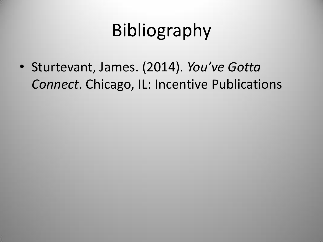# Bibliography

• Sturtevant, James. (2014). *You've Gotta Connect*. Chicago, IL: Incentive Publications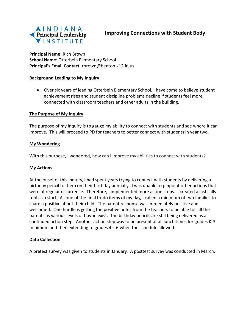

**Principal Name**: Rich Brown **School Name**: Otterbein Elementary School **Principal's Email Contact**: rbrown@benton.k12.in.us

### **Background Leading to My Inquiry**

 Over six years of leading Otterbein Elementary School, I have come to believe student achievement rises and student discipline problems decline if students feel more connected with classroom teachers and other adults in the building.

### **The Purpose of My Inquiry**

The purpose of my inquiry is to gauge my ability to connect with students and see where it can improve. This will proceed to PD for teachers to better connect with students in year two.

#### **My Wondering**

With this purpose, I wondered, how can I improve my abilities to connect with students?

### **My Actions**

At the onset of this inquiry, I had spent years trying to connect with students by delivering a birthday pencil to them on their birthday annually. I was unable to pinpoint other actions that were of regular occurrence. Therefore, I implemented more action steps. I created a last calls tool as a start. As one of the final to-do items of my day, I called a minimum of two families to share a positive about their child. The parent response was immediately positive and welcomed. One hurdle is getting the positive notes from the teachers to be able to call the parents as various levels of buy-in exist. The birthday pencils are still being delivered as a continued action step. Another action step was to be present at all lunch times for grades K-3 minimum and then extending to grades 4 – 6 when the schedule allowed.

#### **Data Collection**

A pretest survey was given to students in January. A posttest survey was conducted in March.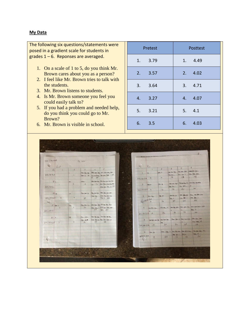#### **My Data**

The following six questions/statements were posed in a gradient scale for students in grades 1 – 6. Reponses are averaged.

- 1. On a scale of 1 to 5, do you think Mr. Brown cares about you as a person?
- 2. I feel like Mr. Brown tries to talk with the students.
- 3. Mr. Brown listens to students.
- 4. Is Mr. Brown someone you feel you could easily talk to?
- 5. If you had a problem and needed help, do you think you could go to Mr. Brown?
- 6. Mr. Brown is visible in school.

| Pretest | <b>Posttest</b> |
|---------|-----------------|
| 1. 3.79 | 1. 4.49         |
| 2. 3.57 | 2.4.02          |
| 3. 3.64 | 3.4.71          |
| 4. 3.27 | 4. 4.07         |
| 5. 3.21 | 5. 4.1          |
| 6. 3.5  | 6. 4.03         |

| $422 - 94 - 4.44$ |                |                                 | 94 total                   |                        |                                          |                   |                |                 |                    |                                          |                                                        |  |
|-------------------|----------------|---------------------------------|----------------------------|------------------------|------------------------------------------|-------------------|----------------|-----------------|--------------------|------------------------------------------|--------------------------------------------------------|--|
| U.                | Post           |                                 |                            |                        |                                          | L                 |                | Pre             |                    |                                          |                                                        |  |
| 3:                |                | $\alpha$                        | $\overline{3}$             | 4                      | 5 <sup>2</sup>                           |                   |                | $\mathcal{Z}$   | $\overline{3}$     | $4 +$                                    | 5                                                      |  |
|                   |                |                                 | <b>TTH- THE 144</b>        |                        |                                          | $\rightarrow$     | 1111           | $H + H$         | <b>BK THE TIME</b> | <b>1941-1944 7177 1944 7794-779-</b>     |                                                        |  |
| 378 - 94= 4.02    |                | $\Delta$                        | $m - m$                    |                        | 77-77-1-1-1-11-11-775                    |                   |                |                 | TH-THL             | $111 + 111$                              | TH-TH HA                                               |  |
|                   |                |                                 |                            | $111 - 122$            |                                          | $356 - 94 = 3.79$ |                | 14              | 15                 | 108                                      | 155                                                    |  |
| 311               |                |                                 | HH                         |                        | <b>HH-HH-HA TH-HILTHL TH'</b>            |                   |                |                 |                    |                                          |                                                        |  |
|                   |                | m <sub>1</sub><br>$\frac{1}{2}$ | 15                         |                        | 114 76 THE THE THE THE THE               |                   |                | <b>HILL ISE</b> | THE THE THE        |                                          | <b>THEMINK THE THE THY THE TINE</b>                    |  |
| 443 - 94 = 4.71   |                |                                 |                            |                        | THE THE THE ILL 340                      | $\alpha$          | $H$ -Hm        |                 | $114 - 114$        | THE THE                                  | 10                                                     |  |
|                   |                |                                 |                            |                        |                                          | 336-14-3.57 7     |                | 14              | 78                 | 120                                      | 116                                                    |  |
|                   |                |                                 |                            |                        |                                          |                   |                |                 |                    |                                          |                                                        |  |
| $45 - 11$         |                | ш.                              | $771 + 711 + 18$           |                        | THE THE THE THE HILL THE                 |                   |                |                 | $11 - 41 + 11$     |                                          | 1111-114-114 HAL HALTEN 214                            |  |
| $353.799 = 4.07$  | $\overline{5}$ | $\overline{u}$                  | 39                         | <b>THI-THI-</b><br>100 | <b>TITH THE THIN THE</b><br>$Tr + 11235$ | $3 -$             | HH THE         | HH RL           | <b>HILL IL</b>     | $m+10+1$ $m+10+1$                        |                                                        |  |
|                   |                |                                 |                            |                        |                                          |                   | 342:4-361      | 16              | 67                 | 104                                      | 155                                                    |  |
| <b>Aug</b>        |                |                                 |                            |                        |                                          |                   |                |                 |                    |                                          |                                                        |  |
|                   | $5.714 - 1$    | 414<br>$\frac{q}{2}$            | $m_{\rm H}$ th $m_{\rm H}$ |                        | $m + m + m + m + m + m + m +$            |                   |                |                 |                    |                                          | TITT ANK III THE THE THE THE ALL ALL THE THE THIS TITE |  |
|                   | $\iota$        |                                 | 42                         | 104                    | HIL THE I THE THE THE HILL<br>11+ 225    | 4                 | $m+700$        |                 |                    | W                                        | $744 - 31$                                             |  |
| $385 - 94 - 41$   |                |                                 |                            |                        |                                          |                   |                | 26              | 51                 | $-12$                                    | 140                                                    |  |
|                   |                |                                 |                            |                        |                                          | $307:94=3.29$ 18  |                |                 |                    |                                          |                                                        |  |
| 6:11              |                | щ                               | <b>THE HH</b>              |                        | TH-THE THE THE THE THE                   |                   |                |                 |                    |                                          |                                                        |  |
|                   |                |                                 | $TII - TIII$               |                        | THE THE HILL THE THE THE LILL            | 5                 | HH THE THE THE | $+111 + 111$    |                    |                                          | THE HE WILL THE CITY OF HE THE                         |  |
| $379594 - 468$    | $\partial$     | $\mathcal{G}$                   | 60                         | 116                    | 195                                      |                   |                | Its.            | $34 -$             | 68                                       | HH-HIL 11/                                             |  |
|                   |                |                                 |                            |                        |                                          | $302 - 94 = 3.21$ | 19             | 34              |                    |                                          | 146                                                    |  |
|                   |                |                                 |                            |                        |                                          |                   |                |                 |                    |                                          |                                                        |  |
|                   |                |                                 |                            |                        |                                          | 6                 | <b>THL III</b> |                 |                    | 7711 - 1944 1 1942 THE THE HILL TITTS 24 | THE THE THE TH                                         |  |
|                   |                |                                 |                            |                        |                                          | $304 + 94 - 3.5$  |                |                 |                    | The What Title                           | THE IL                                                 |  |
|                   |                |                                 |                            |                        |                                          |                   | 9              | 28              | -17                | 20                                       | 4c                                                     |  |
|                   |                |                                 |                            |                        |                                          |                   |                |                 |                    |                                          |                                                        |  |
|                   |                |                                 |                            |                        |                                          | ×                 |                |                 |                    |                                          |                                                        |  |
|                   |                |                                 |                            |                        |                                          |                   |                |                 |                    |                                          |                                                        |  |